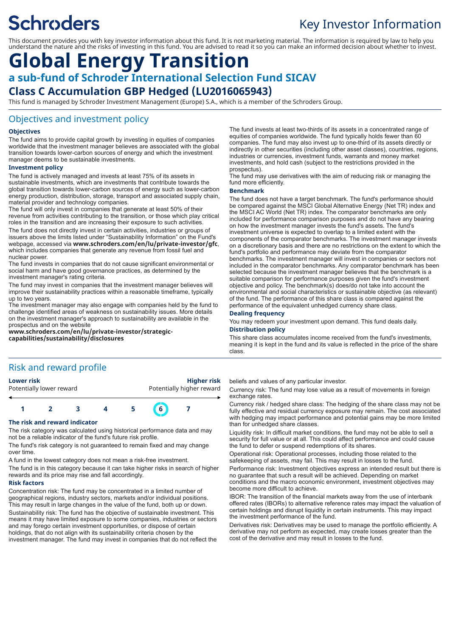# **Schroders**

## Key Investor Information

This document provides you with key investor information about this fund. It is not marketing material. The information is required by law to help you understand the nature and the risks of investing in this fund. You are advised to read it so you can make an informed decision about whether to invest.

## **Global Energy Transition a sub-fund of Schroder International Selection Fund SICAV**

## **Class C Accumulation GBP Hedged (LU2016065943)**

This fund is managed by Schroder Investment Management (Europe) S.A., which is a member of the Schroders Group.

## Objectives and investment policy

### **Objectives**

The fund aims to provide capital growth by investing in equities of companies worldwide that the investment manager believes are associated with the global transition towards lower-carbon sources of energy and which the investment manager deems to be sustainable investments.

#### **Investment policy**

The fund is actively managed and invests at least 75% of its assets in sustainable investments, which are investments that contribute towards the global transition towards lower-carbon sources of energy such as lower-carbon energy production, distribution, storage, transport and associated supply chain, material provider and technology companies.

The fund will only invest in companies that generate at least 50% of their revenue from activities contributing to the transition, or those which play critical roles in the transition and are increasing their exposure to such activities.

The fund does not directly invest in certain activities, industries or groups of issuers above the limits listed under "Sustainability Information" on the Fund's webpage, accessed via **www.schroders.com/en/lu/private-investor/gfc**, which includes companies that generate any revenue from fossil fuel and nuclear power.

The fund invests in companies that do not cause significant environmental or social harm and have good governance practices, as determined by the investment manager's rating criteria.

The fund may invest in companies that the investment manager believes will improve their sustainability practices within a reasonable timeframe, typically up to two years.

The investment manager may also engage with companies held by the fund to challenge identified areas of weakness on sustainability issues. More details on the investment manager's approach to sustainability are available in the prospectus and on the website

**www.schroders.com/en/lu/private-investor/strategiccapabilities/sustainability/disclosures**

The fund invests at least two-thirds of its assets in a concentrated range of equities of companies worldwide. The fund typically holds fewer than 60 companies. The fund may also invest up to one-third of its assets directly or indirectly in other securities (including other asset classes), countries, regions, industries or currencies, investment funds, warrants and money market investments, and hold cash (subject to the restrictions provided in the prospectus).

The fund may use derivatives with the aim of reducing risk or managing the fund more efficiently.

#### **Benchmark**

The fund does not have a target benchmark. The fund's performance should be compared against the MSCI Global Alternative Energy (Net TR) index and the MSCI AC World (Net TR) index. The comparator benchmarks are only included for performance comparison purposes and do not have any bearing on how the investment manager invests the fund's assets. The fund's investment universe is expected to overlap to a limited extent with the components of the comparator benchmarks. The investment manager invests on a discretionary basis and there are no restrictions on the extent to which the fund's portfolio and performance may deviate from the comparator benchmarks. The investment manager will invest in companies or sectors not included in the comparator benchmarks. Any comparator benchmark has been selected because the investment manager believes that the benchmark is a suitable comparison for performance purposes given the fund's investment objective and policy. The benchmark(s) does/do not take into account the environmental and social characteristics or sustainable objective (as relevant) of the fund. The performance of this share class is compared against the performance of the equivalent unhedged currency share class.

### **Dealing frequency**

You may redeem your investment upon demand. This fund deals daily.

**Distribution policy**

This share class accumulates income received from the fund's investments, meaning it is kept in the fund and its value is reflected in the price of the share class.

## Risk and reward profile

| Lower risk               | <b>Higher risk</b>        |
|--------------------------|---------------------------|
| Potentially lower reward | Potentially higher reward |
|                          |                           |

## **1 2 3 4 5 6 7**

### **The risk and reward indicator**

The risk category was calculated using historical performance data and may not be a reliable indicator of the fund's future risk profile.

The fund's risk category is not guaranteed to remain fixed and may change over time.

A fund in the lowest category does not mean a risk-free investment.

The fund is in this category because it can take higher risks in search of higher rewards and its price may rise and fall accordingly.

#### **Risk factors**

Concentration risk: The fund may be concentrated in a limited number of geographical regions, industry sectors, markets and/or individual positions. This may result in large changes in the value of the fund, both up or down. Sustainability risk: The fund has the objective of sustainable investment. This means it may have limited exposure to some companies, industries or sectors and may forego certain investment opportunities, or dispose of certain holdings, that do not align with its sustainability criteria chosen by the investment manager. The fund may invest in companies that do not reflect the beliefs and values of any particular investor.

Currency risk: The fund may lose value as a result of movements in foreign exchange rates.

Currency risk / hedged share class: The hedging of the share class may not be fully effective and residual currency exposure may remain. The cost associated with hedging may impact performance and potential gains may be more limited than for unhedged share classes.

Liquidity risk: In difficult market conditions, the fund may not be able to sell a security for full value or at all. This could affect performance and could cause the fund to defer or suspend redemptions of its shares.

Operational risk: Operational processes, including those related to the safekeeping of assets, may fail. This may result in losses to the fund.

Performance risk: Investment objectives express an intended result but there is no guarantee that such a result will be achieved. Depending on market conditions and the macro economic environment, investment objectives may become more difficult to achieve.

IBOR: The transition of the financial markets away from the use of interbank offered rates (IBORs) to alternative reference rates may impact the valuation of certain holdings and disrupt liquidity in certain instruments. This may impact the investment performance of the fund.

Derivatives risk: Derivatives may be used to manage the portfolio efficiently. A derivative may not perform as expected, may create losses greater than the cost of the derivative and may result in losses to the fund.